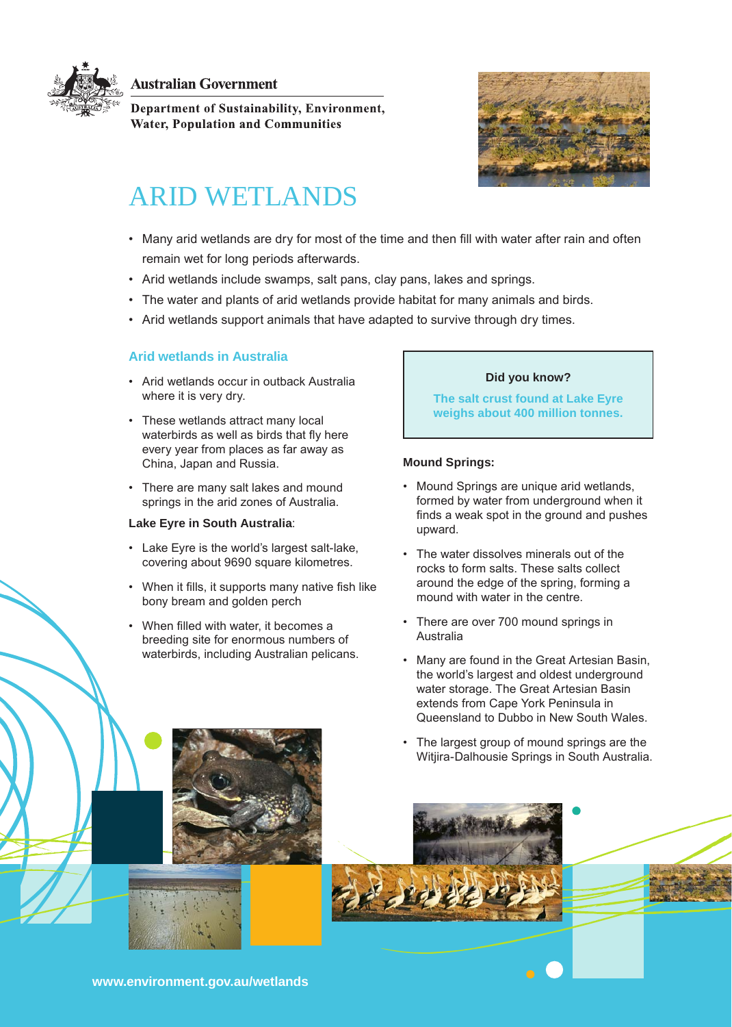

**Australian Government** 

Department of Sustainability, Environment, **Water, Population and Communities** 



# ARID WETLANDS

- Many arid wetlands are dry for most of the time and then fill with water after rain and often remain wet for long periods afterwards.
- Arid wetlands include swamps, salt pans, clay pans, lakes and springs.
- • The water and plants of arid wetlands provide habitat for many animals and birds.
- Arid wetlands support animals that have adapted to survive through dry times.

# **Arid wetlands in Australia**

- • Arid wetlands occur in outback Australia where it is very dry.
- These wetlands attract many local waterbirds as well as birds that fly here every year from places as far away as China, Japan and Russia.
- There are many salt lakes and mound springs in the arid zones of Australia.

# **Lake Eyre in South Australia**:

- • Lake Eyre is the world's largest salt-lake, covering about 9690 square kilometres.
- When it fills, it supports many native fish like bony bream and golden perch
- • When filled with water, it becomes a breeding site for enormous numbers of waterbirds, including Australian pelicans.

# **Did you know?**

**The salt crust found at Lake Eyre weighs about 400 million tonnes.**

#### **Mound Springs:**

- • Mound Springs are unique arid wetlands, formed by water from underground when it finds a weak spot in the ground and pushes upward.
- • The water dissolves minerals out of the rocks to form salts. These salts collect around the edge of the spring, forming a mound with water in the centre.
- • There are over 700 mound springs in Australia
- Many are found in the Great Artesian Basin. the world's largest and oldest underground water storage. The Great Artesian Basin extends from Cape York Peninsula in Queensland to Dubbo in New South Wales.
- The largest group of mound springs are the Witjira-Dalhousie Springs in South Australia.